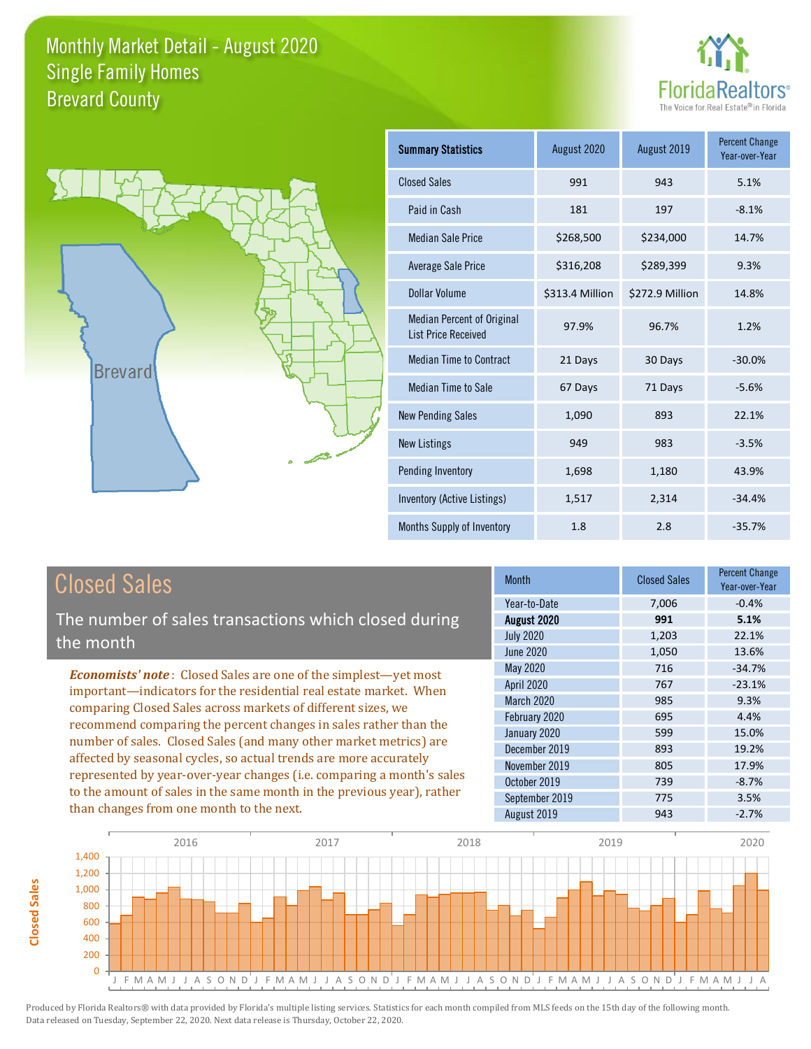



**Closed Sales**

**Closed Sales** 

| <b>Summary Statistics</b>                                       | August 2020     | August 2019     | <b>Percent Change</b><br>Year-over-Year |
|-----------------------------------------------------------------|-----------------|-----------------|-----------------------------------------|
| <b>Closed Sales</b>                                             | 991             | 943             | 5.1%                                    |
| Paid in Cash                                                    | 181             | 197             | $-8.1%$                                 |
| <b>Median Sale Price</b>                                        | \$268,500       | \$234,000       | 14.7%                                   |
| <b>Average Sale Price</b>                                       | \$316,208       | \$289,399       | 9.3%                                    |
| Dollar Volume                                                   | \$313.4 Million | \$272.9 Million | 14.8%                                   |
| <b>Median Percent of Original</b><br><b>List Price Received</b> | 97.9%           | 96.7%           | 1.2%                                    |
| <b>Median Time to Contract</b>                                  | 21 Days         | 30 Days         | $-30.0%$                                |
| <b>Median Time to Sale</b>                                      | 67 Days         | 71 Days         | $-5.6%$                                 |
| <b>New Pending Sales</b>                                        | 1,090           | 893             | 22.1%                                   |
| <b>New Listings</b>                                             | 949             | 983             | $-3.5%$                                 |
| Pending Inventory                                               | 1,698           | 1,180           | 43.9%                                   |
| Inventory (Active Listings)                                     | 1,517           | 2,314           | $-34.4%$                                |
| Months Supply of Inventory                                      | 1.8             | 2.8             | $-35.7%$                                |

| <b>Closed Sales</b>                                                                                                                    | <b>Month</b>      | <b>Closed Sales</b> | <b>Percent Change</b><br>Year-over-Year |
|----------------------------------------------------------------------------------------------------------------------------------------|-------------------|---------------------|-----------------------------------------|
|                                                                                                                                        | Year-to-Date      | 7,006               | $-0.4%$                                 |
| The number of sales transactions which closed during                                                                                   | August 2020       | 991                 | 5.1%                                    |
| the month                                                                                                                              | <b>July 2020</b>  | 1,203               | 22.1%                                   |
|                                                                                                                                        | June 2020         | 1,050               | 13.6%                                   |
| <b>Economists' note:</b> Closed Sales are one of the simplest—yet most                                                                 | May 2020          | 716                 | $-34.7%$                                |
| important—indicators for the residential real estate market. When                                                                      | <b>April 2020</b> | 767                 | $-23.1%$                                |
| comparing Closed Sales across markets of different sizes, we                                                                           | <b>March 2020</b> | 985                 | 9.3%                                    |
| recommend comparing the percent changes in sales rather than the                                                                       | February 2020     | 695                 | 4.4%                                    |
|                                                                                                                                        | January 2020      | 599                 | 15.0%                                   |
| number of sales. Closed Sales (and many other market metrics) are<br>affected by seasonal cycles, so actual trends are more accurately | December 2019     | 893                 | 19.2%                                   |
|                                                                                                                                        | November 2019     | 805                 | 17.9%                                   |
| represented by year-over-year changes (i.e. comparing a month's sales                                                                  | October 2019      | 739                 | $-8.7%$                                 |
| to the amount of sales in the same month in the previous year), rather                                                                 | September 2019    | 775                 | 3.5%                                    |
| than changes from one month to the next.                                                                                               | August 2019       | 943                 | $-2.7%$                                 |

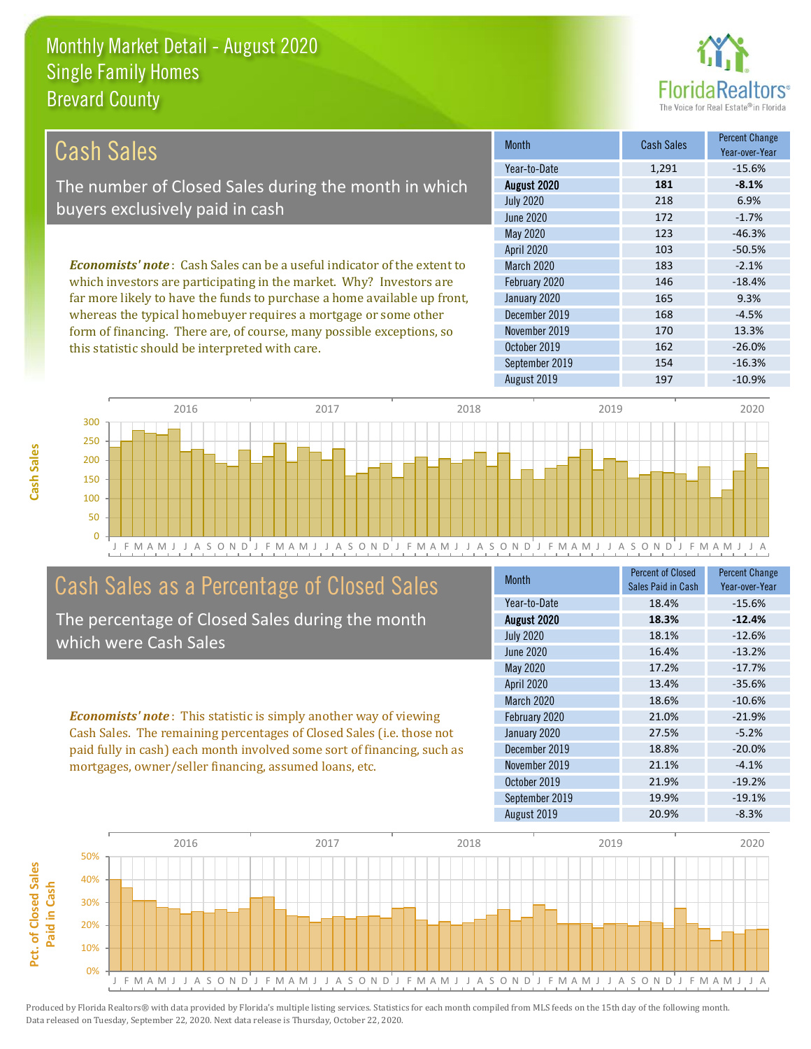

| Cash Sales                                                                     | <b>Month</b>      | <b>Cash Sales</b> | <b>Percent Change</b><br>Year-over-Year |
|--------------------------------------------------------------------------------|-------------------|-------------------|-----------------------------------------|
|                                                                                | Year-to-Date      | 1,291             | $-15.6%$                                |
| The number of Closed Sales during the month in which                           | August 2020       | 181               | $-8.1%$                                 |
| buyers exclusively paid in cash                                                | <b>July 2020</b>  | 218               | 6.9%                                    |
|                                                                                | June 2020         | 172               | $-1.7\%$                                |
|                                                                                | May 2020          | 123               | $-46.3%$                                |
|                                                                                | <b>April 2020</b> | 103               | $-50.5%$                                |
| <b>Economists' note:</b> Cash Sales can be a useful indicator of the extent to | <b>March 2020</b> | 183               | $-2.1%$                                 |
| which investors are participating in the market. Why? Investors are            | February 2020     | 146               | $-18.4%$                                |
| far more likely to have the funds to purchase a home available up front,       | January 2020      | 165               | 9.3%                                    |
| whereas the typical homebuyer requires a mortgage or some other                | December 2019     | 168               | $-4.5%$                                 |
| form of financing. There are, of course, many possible exceptions, so          | November 2019     | 170               | 13.3%                                   |
| this statistic should be interpreted with care.                                | October 2019      | 162               | $-26.0%$                                |



## Cash Sales as a Percentage of Closed Sales

The percentage of Closed Sales during the month which were Cash Sales

*Economists' note* : This statistic is simply another way of viewing Cash Sales. The remaining percentages of Closed Sales (i.e. those not paid fully in cash) each month involved some sort of financing, such as mortgages, owner/seller financing, assumed loans, etc.

| Month             | <b>Percent of Closed</b><br>Sales Paid in Cash | <b>Percent Change</b><br>Year-over-Year |
|-------------------|------------------------------------------------|-----------------------------------------|
| Year-to-Date      | 18.4%                                          | $-15.6%$                                |
| August 2020       | 18.3%                                          | $-12.4%$                                |
| <b>July 2020</b>  | 18.1%                                          | $-12.6%$                                |
| <b>June 2020</b>  | 16.4%                                          | $-13.2%$                                |
| <b>May 2020</b>   | 17.2%                                          | $-17.7%$                                |
| <b>April 2020</b> | 13.4%                                          | $-35.6%$                                |
| <b>March 2020</b> | 18.6%                                          | $-10.6%$                                |
| February 2020     | 21.0%                                          | $-21.9%$                                |
| January 2020      | 27.5%                                          | $-5.2%$                                 |
| December 2019     | 18.8%                                          | $-20.0%$                                |
| November 2019     | 21.1%                                          | $-4.1%$                                 |
| October 2019      | 21.9%                                          | $-19.2%$                                |
| September 2019    | 19.9%                                          | $-19.1%$                                |
| August 2019       | 20.9%                                          | $-8.3%$                                 |

September 2019 154 -16.3%

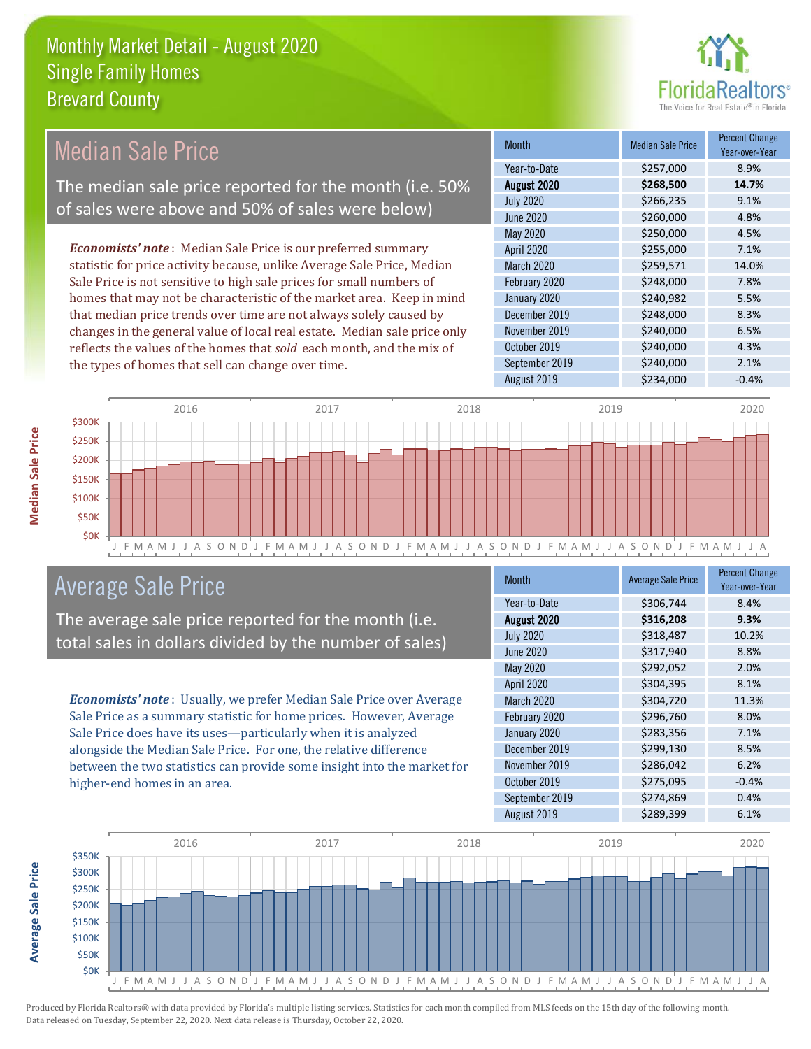

#### *Economists' note* : Median Sale Price is our preferred summary statistic for price activity because, unlike Average Sale Price, Median Sale Price is not sensitive to high sale prices for small numbers of homes that may not be characteristic of the market area. Keep in mind that median price trends over time are not always solely caused by changes in the general value of local real estate. Median sale price only reflects the values of the homes that *sold* each month, and the mix of the types of homes that sell can change over time. August 2019 \$234,000 -0.4% October 2019 **\$240,000** \$240,000 4.3% September 2019 **\$240,000** 2.1% December 2019 **\$248,000** 8.3% November 2019 **\$240,000** 6.5% \$250,000 4.5% April 2020 \$255,000 7.1% January 2020 \$240,982 5.5% July 2020 \$266,235 9.1% June 2020 \$260,000 \$260,000 4.8% March 2020 \$259,571 14.0% February 2020 \$248,000 \$248,000 7.8% May 2020 Month Median Sale Price Percent Change Year-over-Year August 2020 **\$268,500 14.7%** Year-to-Date \$257,000 8.9% Median Sale Price The median sale price reported for the month (i.e. 50% of sales were above and 50% of sales were below)



## Average Sale Price

The average sale price reported for the month (i.e. total sales in dollars divided by the number of sales)

*Economists' note* : Usually, we prefer Median Sale Price over Average Sale Price as a summary statistic for home prices. However, Average Sale Price does have its uses—particularly when it is analyzed alongside the Median Sale Price. For one, the relative difference between the two statistics can provide some insight into the market for higher-end homes in an area.

| Month             | <b>Average Sale Price</b> | <b>Percent Change</b><br>Year-over-Year |
|-------------------|---------------------------|-----------------------------------------|
| Year-to-Date      | \$306,744                 | 8.4%                                    |
| August 2020       | \$316,208                 | 9.3%                                    |
| <b>July 2020</b>  | \$318,487                 | 10.2%                                   |
| June 2020         | \$317,940                 | 8.8%                                    |
| May 2020          | \$292,052                 | 2.0%                                    |
| April 2020        | \$304,395                 | 8.1%                                    |
| <b>March 2020</b> | \$304,720                 | 11.3%                                   |
| February 2020     | \$296,760                 | 8.0%                                    |
| January 2020      | \$283,356                 | 7.1%                                    |
| December 2019     | \$299,130                 | 8.5%                                    |
| November 2019     | \$286,042                 | 6.2%                                    |
| October 2019      | \$275,095                 | $-0.4%$                                 |
| September 2019    | \$274,869                 | 0.4%                                    |
| August 2019       | \$289,399                 | 6.1%                                    |



**Average Sale Price**

**Average Sale Price**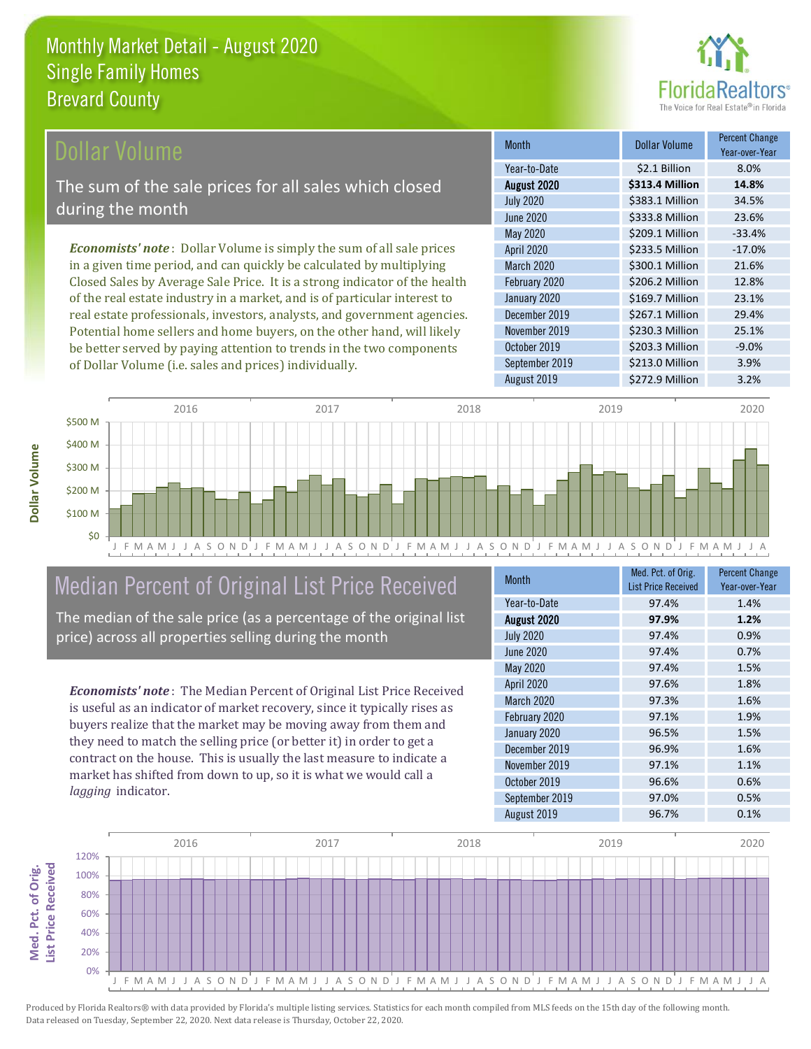

### ollar Volume

The sum of the sale prices for all sales which closed during the month

*Economists' note* : Dollar Volume is simply the sum of all sale prices in a given time period, and can quickly be calculated by multiplying Closed Sales by Average Sale Price. It is a strong indicator of the health of the real estate industry in a market, and is of particular interest to real estate professionals, investors, analysts, and government agencies. Potential home sellers and home buyers, on the other hand, will likely be better served by paying attention to trends in the two components of Dollar Volume (i.e. sales and prices) individually.

| <b>Month</b>     | <b>Dollar Volume</b> | <b>Percent Change</b><br>Year-over-Year |
|------------------|----------------------|-----------------------------------------|
| Year-to-Date     | \$2.1 Billion        | 8.0%                                    |
| August 2020      | \$313.4 Million      | 14.8%                                   |
| <b>July 2020</b> | \$383.1 Million      | 34.5%                                   |
| <b>June 2020</b> | \$333.8 Million      | 23.6%                                   |
| <b>May 2020</b>  | \$209.1 Million      | $-33.4%$                                |
| April 2020       | \$233.5 Million      | $-17.0%$                                |
| March 2020       | \$300.1 Million      | 21.6%                                   |
| February 2020    | \$206.2 Million      | 12.8%                                   |
| January 2020     | \$169.7 Million      | 23.1%                                   |
| December 2019    | \$267.1 Million      | 29.4%                                   |
| November 2019    | \$230.3 Million      | 25.1%                                   |
| October 2019     | \$203.3 Million      | $-9.0%$                                 |
| September 2019   | \$213.0 Million      | 3.9%                                    |
| August 2019      | \$272.9 Million      | 3.2%                                    |



# Median Percent of Original List Price Received

The median of the sale price (as a percentage of the original list price) across all properties selling during the month

*Economists' note* : The Median Percent of Original List Price Received is useful as an indicator of market recovery, since it typically rises as buyers realize that the market may be moving away from them and they need to match the selling price (or better it) in order to get a contract on the house. This is usually the last measure to indicate a market has shifted from down to up, so it is what we would call a *lagging* indicator.

| <b>Month</b>     | Med. Pct. of Orig.<br><b>List Price Received</b> | <b>Percent Change</b><br>Year-over-Year |
|------------------|--------------------------------------------------|-----------------------------------------|
| Year-to-Date     | 97.4%                                            | 1.4%                                    |
| August 2020      | 97.9%                                            | 1.2%                                    |
| <b>July 2020</b> | 97.4%                                            | 0.9%                                    |
| <b>June 2020</b> | 97.4%                                            | 0.7%                                    |
| May 2020         | 97.4%                                            | 1.5%                                    |
| April 2020       | 97.6%                                            | 1.8%                                    |
| March 2020       | 97.3%                                            | 1.6%                                    |
| February 2020    | 97.1%                                            | 1.9%                                    |
| January 2020     | 96.5%                                            | 1.5%                                    |
| December 2019    | 96.9%                                            | 1.6%                                    |
| November 2019    | 97.1%                                            | 1.1%                                    |
| October 2019     | 96.6%                                            | 0.6%                                    |
| September 2019   | 97.0%                                            | 0.5%                                    |
| August 2019      | 96.7%                                            | 0.1%                                    |

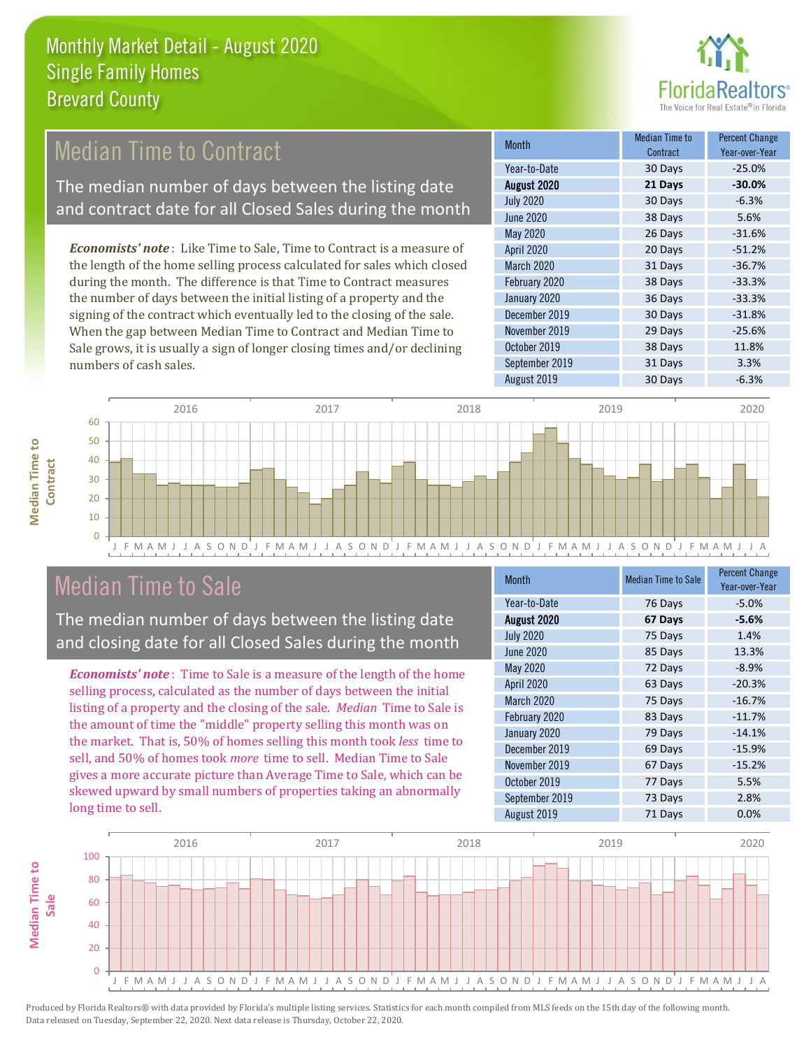

## Median Time to Contract

The median number of days between the listing date and contract date for all Closed Sales during the month

*Economists' note* : Like Time to Sale, Time to Contract is a measure of the length of the home selling process calculated for sales which closed during the month. The difference is that Time to Contract measures the number of days between the initial listing of a property and the signing of the contract which eventually led to the closing of the sale. When the gap between Median Time to Contract and Median Time to Sale grows, it is usually a sign of longer closing times and/or declining numbers of cash sales.

| <b>Month</b>     | Median Time to<br>Contract | <b>Percent Change</b><br>Year-over-Year |
|------------------|----------------------------|-----------------------------------------|
| Year-to-Date     | 30 Days                    | $-25.0%$                                |
| August 2020      | 21 Days                    | $-30.0%$                                |
| <b>July 2020</b> | 30 Days                    | $-6.3%$                                 |
| <b>June 2020</b> | 38 Days                    | 5.6%                                    |
| <b>May 2020</b>  | 26 Days                    | $-31.6%$                                |
| April 2020       | 20 Days                    | $-51.2%$                                |
| March 2020       | 31 Days                    | $-36.7%$                                |
| February 2020    | 38 Days                    | $-33.3%$                                |
| January 2020     | 36 Days                    | $-33.3%$                                |
| December 2019    | 30 Days                    | $-31.8%$                                |
| November 2019    | 29 Days                    | $-25.6%$                                |
| October 2019     | 38 Days                    | 11.8%                                   |
| September 2019   | 31 Days                    | 3.3%                                    |
| August 2019      | 30 Days                    | $-6.3%$                                 |



## Median Time to Sale

The median number of days between the listing date and closing date for all Closed Sales during the month

*Economists' note* : Time to Sale is a measure of the length of the home selling process, calculated as the number of days between the initial listing of a property and the closing of the sale. *Median* Time to Sale is the amount of time the "middle" property selling this month was on the market. That is, 50% of homes selling this month took *less* time to sell, and 50% of homes took *more* time to sell. Median Time to Sale gives a more accurate picture than Average Time to Sale, which can be skewed upward by small numbers of properties taking an abnormally long time to sell.

| <b>Month</b>     | <b>Median Time to Sale</b> | <b>Percent Change</b><br>Year-over-Year |
|------------------|----------------------------|-----------------------------------------|
| Year-to-Date     | 76 Days                    | $-5.0%$                                 |
| August 2020      | 67 Days                    | $-5.6%$                                 |
| <b>July 2020</b> | 75 Days                    | 1.4%                                    |
| <b>June 2020</b> | 85 Days                    | 13.3%                                   |
| <b>May 2020</b>  | 72 Days                    | $-8.9%$                                 |
| April 2020       | 63 Days                    | $-20.3%$                                |
| March 2020       | 75 Days                    | $-16.7%$                                |
| February 2020    | 83 Days                    | $-11.7%$                                |
| January 2020     | 79 Days                    | $-14.1%$                                |
| December 2019    | 69 Days                    | $-15.9%$                                |
| November 2019    | 67 Days                    | $-15.2%$                                |
| October 2019     | 77 Days                    | 5.5%                                    |
| September 2019   | 73 Days                    | 2.8%                                    |
| August 2019      | 71 Days                    | 0.0%                                    |

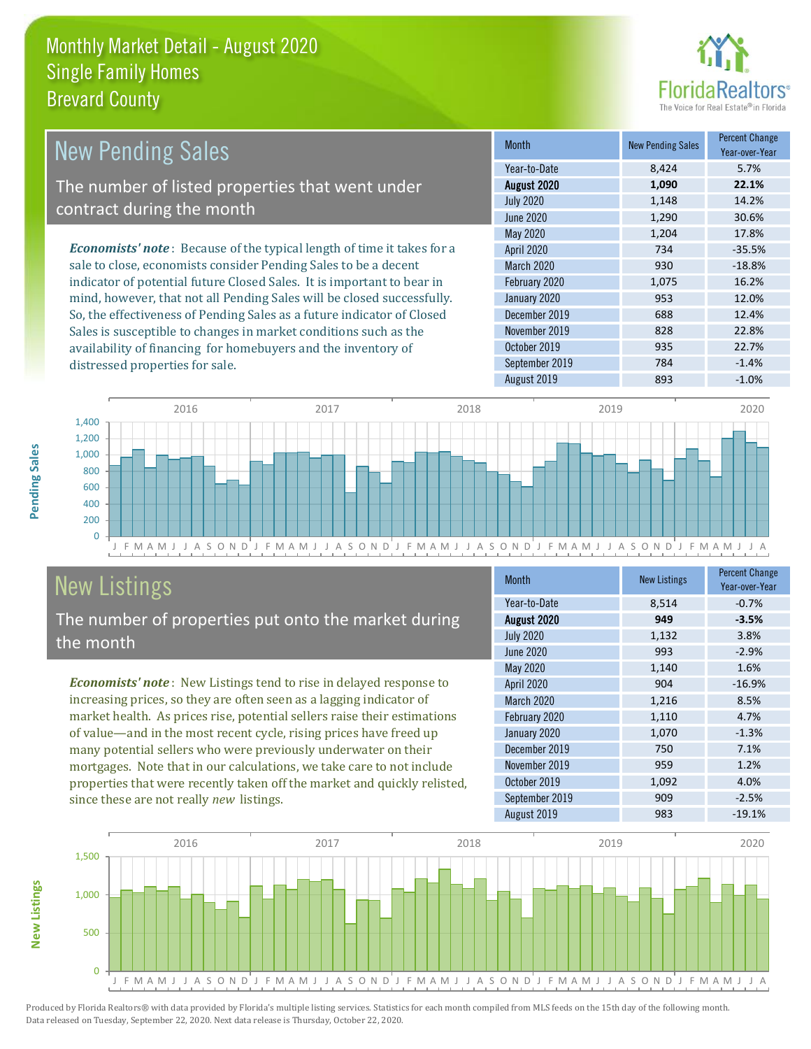

| <b>New Pending Sales</b>                                                      | <b>Month</b>      | <b>New Pending Sales</b> | <b>Percent Change</b><br>Year-over-Year |
|-------------------------------------------------------------------------------|-------------------|--------------------------|-----------------------------------------|
|                                                                               | Year-to-Date      | 8.424                    | 5.7%                                    |
| The number of listed properties that went under                               | August 2020       | 1,090                    | 22.1%                                   |
| contract during the month                                                     | <b>July 2020</b>  | 1,148                    | 14.2%                                   |
|                                                                               | June 2020         | 1,290                    | 30.6%                                   |
|                                                                               | May 2020          | 1.204                    | 17.8%                                   |
| <b>Economists' note:</b> Because of the typical length of time it takes for a | <b>April 2020</b> | 734                      | $-35.5%$                                |
| sale to close, economists consider Pending Sales to be a decent               | March 2020        | 930                      | $-18.8%$                                |
| indicator of potential future Closed Sales. It is important to bear in        | February 2020     | 1,075                    | 16.2%                                   |
| mind, however, that not all Pending Sales will be closed successfully.        | January 2020      | 953                      | 12.0%                                   |
| So, the effectiveness of Pending Sales as a future indicator of Closed        | December 2019     | 688                      | 12.4%                                   |
| Sales is susceptible to changes in market conditions such as the              | November 2019     | 828                      | 22.8%                                   |
| availability of financing for homebuyers and the inventory of                 | October 2019      | 935                      | 22.7%                                   |



# New Listings

distressed properties for sale.

The number of properties put onto the market during the month

*Economists' note* : New Listings tend to rise in delayed response to increasing prices, so they are often seen as a lagging indicator of market health. As prices rise, potential sellers raise their estimations of value—and in the most recent cycle, rising prices have freed up many potential sellers who were previously underwater on their mortgages. Note that in our calculations, we take care to not include properties that were recently taken off the market and quickly relisted, since these are not really *new* listings.

| <b>Month</b>     | <b>New Listings</b> | <b>Percent Change</b><br>Year-over-Year |
|------------------|---------------------|-----------------------------------------|
| Year-to-Date     | 8,514               | $-0.7%$                                 |
| August 2020      | 949                 | $-3.5%$                                 |
| <b>July 2020</b> | 1,132               | 3.8%                                    |
| <b>June 2020</b> | 993                 | $-2.9%$                                 |
| <b>May 2020</b>  | 1,140               | 1.6%                                    |
| April 2020       | 904                 | $-16.9%$                                |
| March 2020       | 1,216               | 8.5%                                    |
| February 2020    | 1,110               | 4.7%                                    |
| January 2020     | 1,070               | $-1.3%$                                 |
| December 2019    | 750                 | 7.1%                                    |
| November 2019    | 959                 | 1.2%                                    |
| October 2019     | 1,092               | 4.0%                                    |
| September 2019   | 909                 | $-2.5%$                                 |
| August 2019      | 983                 | $-19.1%$                                |

September 2019 784 -1.4%



Produced by Florida Realtors® with data provided by Florida's multiple listing services. Statistics for each month compiled from MLS feeds on the 15th day of the following month. Data released on Tuesday, September 22, 2020. Next data release is Thursday, October 22, 2020.

**New Listings**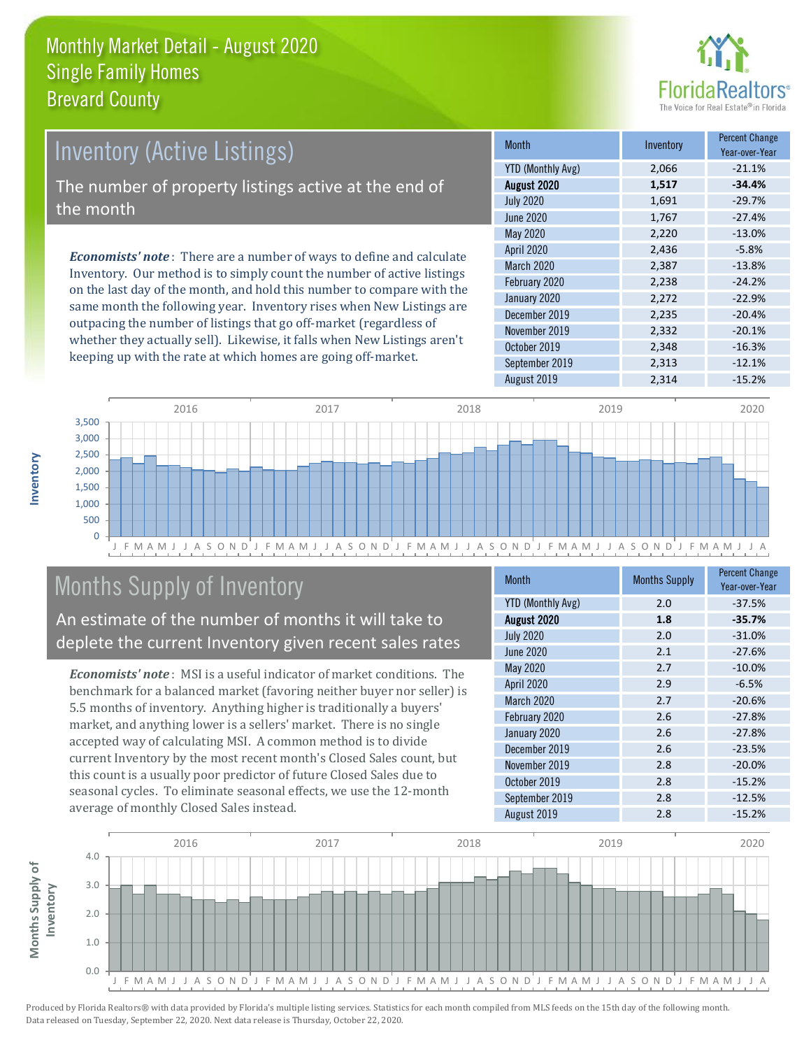

# *Economists' note* : There are a number of ways to define and calculate Inventory (Active Listings) The number of property listings active at the end of the month

Inventory. Our method is to simply count the number of active listings on the last day of the month, and hold this number to compare with the same month the following year. Inventory rises when New Listings are outpacing the number of listings that go off-market (regardless of whether they actually sell). Likewise, it falls when New Listings aren't keeping up with the rate at which homes are going off-market.

| Month                    | Inventory | <b>Percent Change</b><br>Year-over-Year |
|--------------------------|-----------|-----------------------------------------|
| <b>YTD (Monthly Avg)</b> | 2,066     | $-21.1%$                                |
| August 2020              | 1,517     | $-34.4%$                                |
| <b>July 2020</b>         | 1,691     | $-29.7%$                                |
| <b>June 2020</b>         | 1,767     | $-27.4%$                                |
| May 2020                 | 2,220     | $-13.0%$                                |
| April 2020               | 2,436     | $-5.8%$                                 |
| <b>March 2020</b>        | 2,387     | $-13.8%$                                |
| February 2020            | 2,238     | $-24.2%$                                |
| January 2020             | 2,272     | $-22.9%$                                |
| December 2019            | 2,235     | $-20.4%$                                |
| November 2019            | 2,332     | $-20.1%$                                |
| October 2019             | 2,348     | $-16.3%$                                |
| September 2019           | 2,313     | $-12.1%$                                |
| August 2019              | 2,314     | $-15.2%$                                |



# Months Supply of Inventory

An estimate of the number of months it will take to deplete the current Inventory given recent sales rates

*Economists' note* : MSI is a useful indicator of market conditions. The benchmark for a balanced market (favoring neither buyer nor seller) is 5.5 months of inventory. Anything higher is traditionally a buyers' market, and anything lower is a sellers' market. There is no single accepted way of calculating MSI. A common method is to divide current Inventory by the most recent month's Closed Sales count, but this count is a usually poor predictor of future Closed Sales due to seasonal cycles. To eliminate seasonal effects, we use the 12-month average of monthly Closed Sales instead.

| <b>Month</b>             | <b>Months Supply</b> | <b>Percent Change</b><br>Year-over-Year |
|--------------------------|----------------------|-----------------------------------------|
| <b>YTD (Monthly Avg)</b> | 2.0                  | $-37.5%$                                |
| August 2020              | 1.8                  | $-35.7%$                                |
| <b>July 2020</b>         | 2.0                  | $-31.0%$                                |
| <b>June 2020</b>         | 2.1                  | $-27.6%$                                |
| May 2020                 | 2.7                  | $-10.0%$                                |
| April 2020               | 2.9                  | $-6.5%$                                 |
| March 2020               | 2.7                  | $-20.6%$                                |
| February 2020            | 2.6                  | $-27.8%$                                |
| January 2020             | 2.6                  | $-27.8%$                                |
| December 2019            | 2.6                  | $-23.5%$                                |
| November 2019            | 2.8                  | $-20.0%$                                |
| October 2019             | 2.8                  | $-15.2%$                                |
| September 2019           | 2.8                  | $-12.5%$                                |
| August 2019              | 2.8                  | $-15.2%$                                |

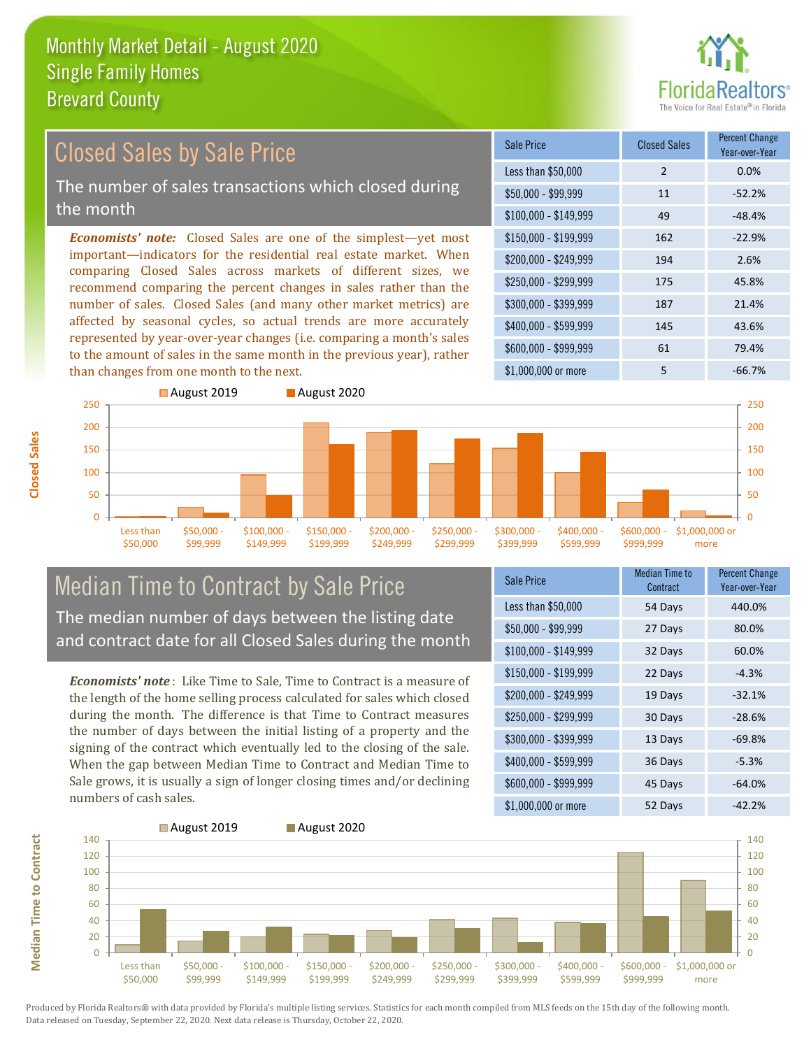

#### $$100,000 - $149,999$  49  $-48.4\%$ Sale Price Closed Sales Percent Change Year-over-Year Less than \$50,000 2 0.0%  $$50.000 - $99.999$  11  $$52.2\%$ \$150,000 - \$199,999 162 -22.9% \$200,000 - \$249,999 194 2.6% \$400,000 - \$599,999 145 43.6% \$600,000 - \$999,999 61 79.4% *Economists' note:* Closed Sales are one of the simplest—yet most important—indicators for the residential real estate market. When comparing Closed Sales across markets of different sizes, we recommend comparing the percent changes in sales rather than the number of sales. Closed Sales (and many other market metrics) are affected by seasonal cycles, so actual trends are more accurately represented by year-over-year changes (i.e. comparing a month's sales to the amount of sales in the same month in the previous year), rather than changes from one month to the next. \$1,000,000 or more 5 5 -66.7% \$250,000 - \$299,999 175 45.8% \$300,000 - \$399,999 187 21.4% 150 200 250 August 2019 **August 2020** 150 200 250 Closed Sales by Sale Price The number of sales transactions which closed during the month

#### Less than \$50,000 \$50,000 - \$99,999 \$100,000 \$149,999 \$150,000 - \$199,999 \$200,000 - \$249,999 \$250,000 - \$299,999 \$300,000 - \$399,999 Median Time to Contract by Sale Price The median number of days between the listing date and contract date for all Closed Sales during the month

*Economists' note* : Like Time to Sale, Time to Contract is a measure of the length of the home selling process calculated for sales which closed during the month. The difference is that Time to Contract measures the number of days between the initial listing of a property and the signing of the contract which eventually led to the closing of the sale. When the gap between Median Time to Contract and Median Time to Sale grows, it is usually a sign of longer closing times and/or declining numbers of cash sales.

| Sale Price            | Median Time to<br>Contract | <b>Percent Change</b><br>Year-over-Year |
|-----------------------|----------------------------|-----------------------------------------|
| Less than \$50,000    | 54 Days                    | 440.0%                                  |
| $$50,000 - $99,999$   | 27 Days                    | 80.0%                                   |
| $$100,000 - $149,999$ | 32 Days                    | 60.0%                                   |
| $$150,000 - $199,999$ | 22 Days                    | $-4.3%$                                 |
| \$200,000 - \$249,999 | 19 Days                    | $-32.1%$                                |
| \$250,000 - \$299,999 | 30 Days                    | $-28.6%$                                |
| \$300,000 - \$399,999 | 13 Days                    | $-69.8%$                                |
| \$400,000 - \$599,999 | 36 Days                    | $-5.3%$                                 |
| \$600,000 - \$999,999 | 45 Days                    | $-64.0%$                                |
| \$1,000,000 or more   | 52 Days                    | $-42.2%$                                |

\$600,000 - \$999,999

\$1,000,000 or more

 $\Omega$ 50 100

\$400,000 - \$599,999



Produced by Florida Realtors® with data provided by Florida's multiple listing services. Statistics for each month compiled from MLS feeds on the 15th day of the following month. Data released on Tuesday, September 22, 2020. Next data release is Thursday, October 22, 2020.

 $\Omega$ 50 100

**Median Time to Contract**

**Median Time to Contract**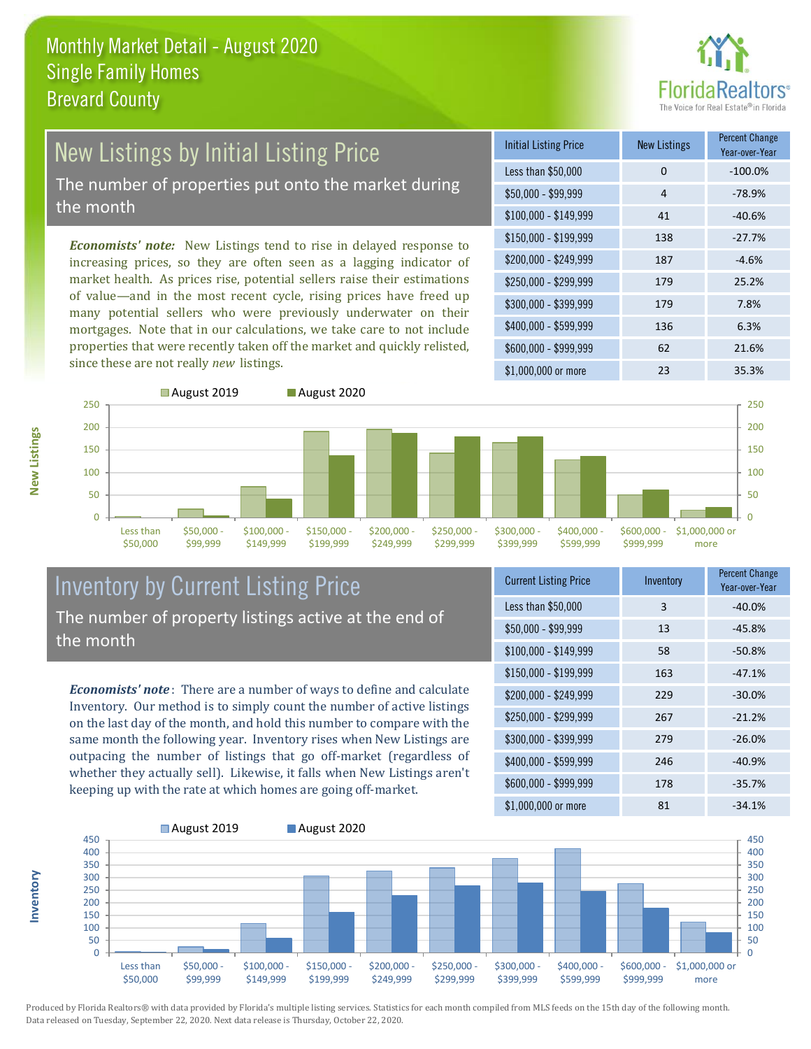

# New Listings by Initial Listing Price The number of properties put onto the market during

the month

**Inventory**

**New Listings**

*Economists' note:* New Listings tend to rise in delayed response to increasing prices, so they are often seen as a lagging indicator of market health. As prices rise, potential sellers raise their estimations of value—and in the most recent cycle, rising prices have freed up many potential sellers who were previously underwater on their mortgages. Note that in our calculations, we take care to not include properties that were recently taken off the market and quickly relisted, since these are not really *new* listings.





### Inventory by Current Listing Price The number of property listings active at the end of the month

*Economists' note* : There are a number of ways to define and calculate Inventory. Our method is to simply count the number of active listings on the last day of the month, and hold this number to compare with the same month the following year. Inventory rises when New Listings are outpacing the number of listings that go off-market (regardless of whether they actually sell). Likewise, it falls when New Listings aren't keeping up with the rate at which homes are going off-market.

| <b>Current Listing Price</b> | Inventory | <b>Percent Change</b><br>Year-over-Year |
|------------------------------|-----------|-----------------------------------------|
| Less than \$50,000           | 3         | $-40.0%$                                |
| $$50,000 - $99,999$          | 13        | $-45.8%$                                |
| $$100,000 - $149,999$        | 58        | $-50.8%$                                |
| $$150,000 - $199,999$        | 163       | $-47.1%$                                |
| \$200,000 - \$249,999        | 229       | $-30.0%$                                |
| \$250,000 - \$299,999        | 267       | $-21.2%$                                |
| \$300,000 - \$399,999        | 279       | $-26.0%$                                |
| \$400,000 - \$599,999        | 246       | $-40.9%$                                |
| \$600,000 - \$999,999        | 178       | $-35.7%$                                |
| \$1,000,000 or more          | 81        | $-34.1%$                                |